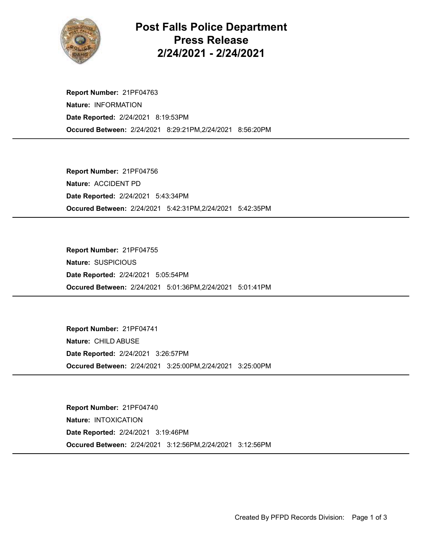

## Post Falls Police Department Press Release 2/24/2021 - 2/24/2021

Occured Between: 2/24/2021 8:29:21PM,2/24/2021 8:56:20PM Report Number: 21PF04763 Nature: INFORMATION Date Reported: 2/24/2021 8:19:53PM

Occured Between: 2/24/2021 5:42:31PM,2/24/2021 5:42:35PM Report Number: 21PF04756 Nature: ACCIDENT PD Date Reported: 2/24/2021 5:43:34PM

Occured Between: 2/24/2021 5:01:36PM,2/24/2021 5:01:41PM Report Number: 21PF04755 Nature: SUSPICIOUS Date Reported: 2/24/2021 5:05:54PM

Occured Between: 2/24/2021 3:25:00PM,2/24/2021 3:25:00PM Report Number: 21PF04741 Nature: CHILD ABUSE Date Reported: 2/24/2021 3:26:57PM

Occured Between: 2/24/2021 3:12:56PM,2/24/2021 3:12:56PM Report Number: 21PF04740 Nature: INTOXICATION Date Reported: 2/24/2021 3:19:46PM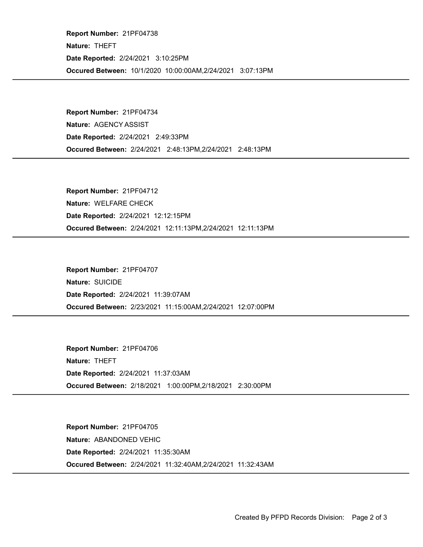Occured Between: 10/1/2020 10:00:00AM,2/24/2021 3:07:13PM Report Number: 21PF04738 Nature: THEFT Date Reported: 2/24/2021 3:10:25PM

Occured Between: 2/24/2021 2:48:13PM,2/24/2021 2:48:13PM Report Number: 21PF04734 Nature: AGENCY ASSIST Date Reported: 2/24/2021 2:49:33PM

Occured Between: 2/24/2021 12:11:13PM,2/24/2021 12:11:13PM Report Number: 21PF04712 Nature: WELFARE CHECK Date Reported: 2/24/2021 12:12:15PM

Occured Between: 2/23/2021 11:15:00AM,2/24/2021 12:07:00PM Report Number: 21PF04707 Nature: SUICIDE Date Reported: 2/24/2021 11:39:07AM

Occured Between: 2/18/2021 1:00:00PM,2/18/2021 2:30:00PM Report Number: 21PF04706 Nature: THEFT Date Reported: 2/24/2021 11:37:03AM

Occured Between: 2/24/2021 11:32:40AM,2/24/2021 11:32:43AM Report Number: 21PF04705 Nature: ABANDONED VEHIC Date Reported: 2/24/2021 11:35:30AM